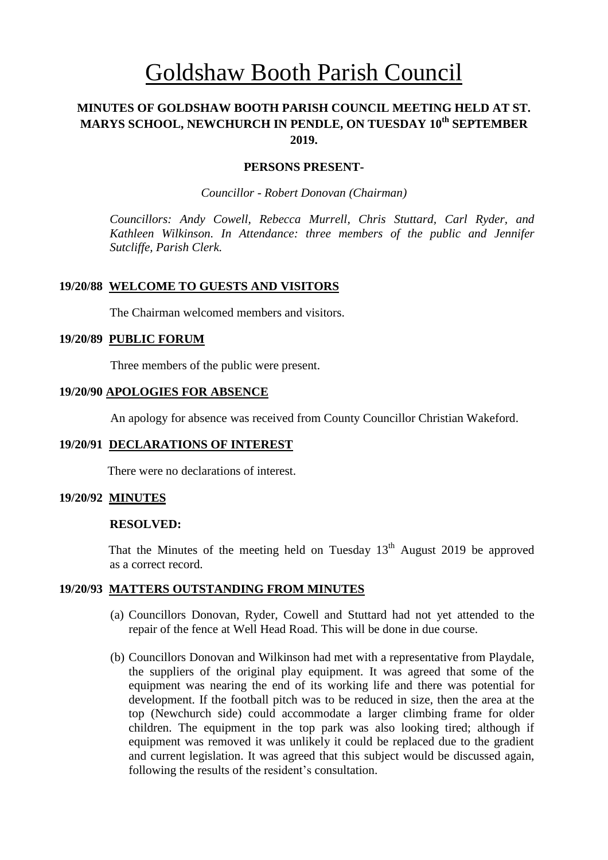# Goldshaw Booth Parish Council

# **MINUTES OF GOLDSHAW BOOTH PARISH COUNCIL MEETING HELD AT ST. MARYS SCHOOL, NEWCHURCH IN PENDLE, ON TUESDAY 10th SEPTEMBER 2019.**

#### **PERSONS PRESENT-**

*Councillor* - *Robert Donovan (Chairman)*

*Councillors: Andy Cowell, Rebecca Murrell, Chris Stuttard, Carl Ryder, and Kathleen Wilkinson. In Attendance: three members of the public and Jennifer Sutcliffe, Parish Clerk.*

#### **19/20/88 WELCOME TO GUESTS AND VISITORS**

The Chairman welcomed members and visitors.

#### **19/20/89 PUBLIC FORUM**

Three members of the public were present.

#### **19/20/90 APOLOGIES FOR ABSENCE**

An apology for absence was received from County Councillor Christian Wakeford.

#### **19/20/91 DECLARATIONS OF INTEREST**

There were no declarations of interest.

#### **19/20/92 MINUTES**

#### **RESOLVED:**

That the Minutes of the meeting held on Tuesday  $13<sup>th</sup>$  August 2019 be approved as a correct record.

## **19/20/93 MATTERS OUTSTANDING FROM MINUTES**

- (a) Councillors Donovan, Ryder, Cowell and Stuttard had not yet attended to the repair of the fence at Well Head Road. This will be done in due course.
- (b) Councillors Donovan and Wilkinson had met with a representative from Playdale, the suppliers of the original play equipment. It was agreed that some of the equipment was nearing the end of its working life and there was potential for development. If the football pitch was to be reduced in size, then the area at the top (Newchurch side) could accommodate a larger climbing frame for older children. The equipment in the top park was also looking tired; although if equipment was removed it was unlikely it could be replaced due to the gradient and current legislation. It was agreed that this subject would be discussed again, following the results of the resident's consultation.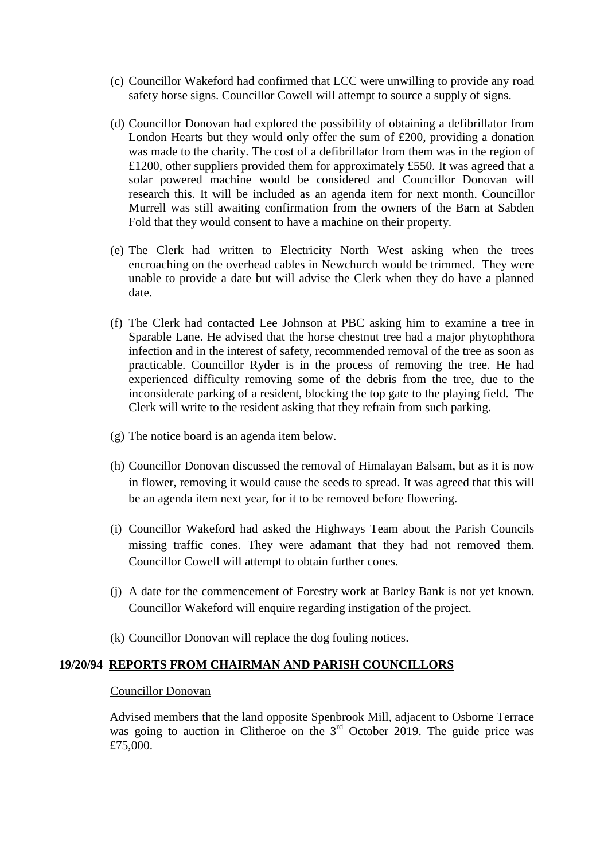- (c) Councillor Wakeford had confirmed that LCC were unwilling to provide any road safety horse signs. Councillor Cowell will attempt to source a supply of signs.
- (d) Councillor Donovan had explored the possibility of obtaining a defibrillator from London Hearts but they would only offer the sum of £200, providing a donation was made to the charity. The cost of a defibrillator from them was in the region of £1200, other suppliers provided them for approximately £550. It was agreed that a solar powered machine would be considered and Councillor Donovan will research this. It will be included as an agenda item for next month. Councillor Murrell was still awaiting confirmation from the owners of the Barn at Sabden Fold that they would consent to have a machine on their property.
- (e) The Clerk had written to Electricity North West asking when the trees encroaching on the overhead cables in Newchurch would be trimmed. They were unable to provide a date but will advise the Clerk when they do have a planned date.
- (f) The Clerk had contacted Lee Johnson at PBC asking him to examine a tree in Sparable Lane. He advised that the horse chestnut tree had a major phytophthora infection and in the interest of safety, recommended removal of the tree as soon as practicable. Councillor Ryder is in the process of removing the tree. He had experienced difficulty removing some of the debris from the tree, due to the inconsiderate parking of a resident, blocking the top gate to the playing field. The Clerk will write to the resident asking that they refrain from such parking.
- (g) The notice board is an agenda item below.
- (h) Councillor Donovan discussed the removal of Himalayan Balsam, but as it is now in flower, removing it would cause the seeds to spread. It was agreed that this will be an agenda item next year, for it to be removed before flowering.
- (i) Councillor Wakeford had asked the Highways Team about the Parish Councils missing traffic cones. They were adamant that they had not removed them. Councillor Cowell will attempt to obtain further cones.
- (j) A date for the commencement of Forestry work at Barley Bank is not yet known. Councillor Wakeford will enquire regarding instigation of the project.
- (k) Councillor Donovan will replace the dog fouling notices.

#### **19/20/94 REPORTS FROM CHAIRMAN AND PARISH COUNCILLORS**

#### Councillor Donovan

Advised members that the land opposite Spenbrook Mill, adjacent to Osborne Terrace was going to auction in Clitheroe on the 3<sup>rd</sup> October 2019. The guide price was £75,000.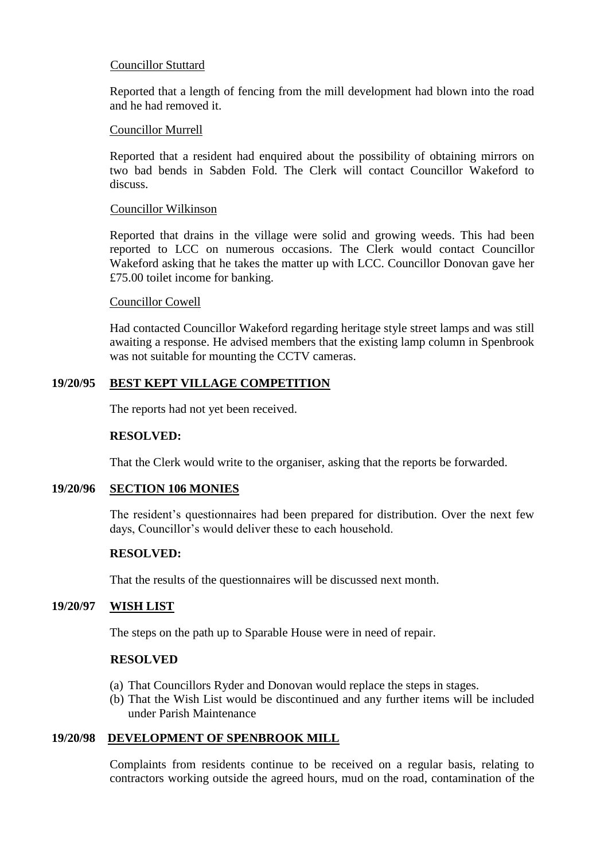## Councillor Stuttard

Reported that a length of fencing from the mill development had blown into the road and he had removed it.

#### Councillor Murrell

Reported that a resident had enquired about the possibility of obtaining mirrors on two bad bends in Sabden Fold. The Clerk will contact Councillor Wakeford to discuss.

#### Councillor Wilkinson

Reported that drains in the village were solid and growing weeds. This had been reported to LCC on numerous occasions. The Clerk would contact Councillor Wakeford asking that he takes the matter up with LCC. Councillor Donovan gave her £75.00 toilet income for banking.

#### Councillor Cowell

Had contacted Councillor Wakeford regarding heritage style street lamps and was still awaiting a response. He advised members that the existing lamp column in Spenbrook was not suitable for mounting the CCTV cameras.

## **19/20/95 BEST KEPT VILLAGE COMPETITION**

The reports had not yet been received.

#### **RESOLVED:**

That the Clerk would write to the organiser, asking that the reports be forwarded.

## **19/20/96 SECTION 106 MONIES**

The resident's questionnaires had been prepared for distribution. Over the next few days, Councillor's would deliver these to each household.

#### **RESOLVED:**

That the results of the questionnaires will be discussed next month.

## **19/20/97 WISH LIST**

The steps on the path up to Sparable House were in need of repair.

#### **RESOLVED**

- (a) That Councillors Ryder and Donovan would replace the steps in stages.
- (b) That the Wish List would be discontinued and any further items will be included under Parish Maintenance

## **19/20/98 DEVELOPMENT OF SPENBROOK MILL**

Complaints from residents continue to be received on a regular basis, relating to contractors working outside the agreed hours, mud on the road, contamination of the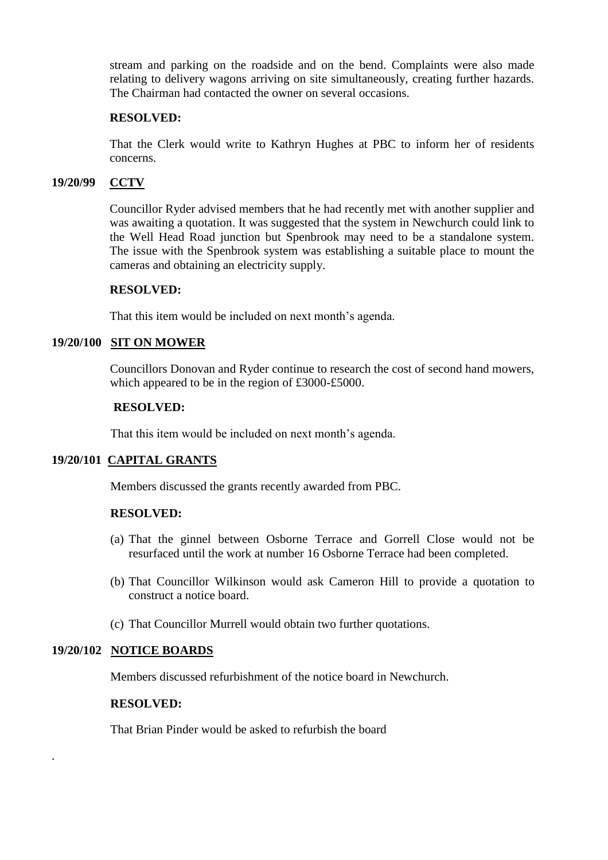stream and parking on the roadside and on the bend. Complaints were also made relating to delivery wagons arriving on site simultaneously, creating further hazards. The Chairman had contacted the owner on several occasions.

## **RESOLVED:**

That the Clerk would write to Kathryn Hughes at PBC to inform her of residents concerns.

## **19/20/99 CCTV**

Councillor Ryder advised members that he had recently met with another supplier and was awaiting a quotation. It was suggested that the system in Newchurch could link to the Well Head Road junction but Spenbrook may need to be a standalone system. The issue with the Spenbrook system was establishing a suitable place to mount the cameras and obtaining an electricity supply.

#### **RESOLVED:**

That this item would be included on next month's agenda.

## **19/20/100 SIT ON MOWER**

Councillors Donovan and Ryder continue to research the cost of second hand mowers, which appeared to be in the region of £3000-£5000.

#### **RESOLVED:**

That this item would be included on next month's agenda.

## **19/20/101 CAPITAL GRANTS**

Members discussed the grants recently awarded from PBC.

#### **RESOLVED:**

- (a) That the ginnel between Osborne Terrace and Gorrell Close would not be resurfaced until the work at number 16 Osborne Terrace had been completed.
- (b) That Councillor Wilkinson would ask Cameron Hill to provide a quotation to construct a notice board.
- (c) That Councillor Murrell would obtain two further quotations.

#### **19/20/102 NOTICE BOARDS**

.

Members discussed refurbishment of the notice board in Newchurch.

## **RESOLVED:**

That Brian Pinder would be asked to refurbish the board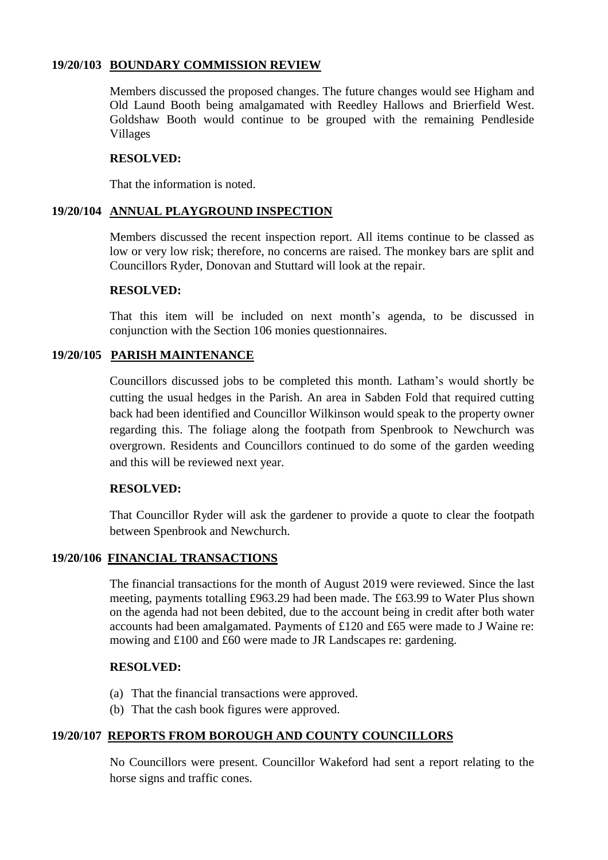## **19/20/103 BOUNDARY COMMISSION REVIEW**

Members discussed the proposed changes. The future changes would see Higham and Old Laund Booth being amalgamated with Reedley Hallows and Brierfield West. Goldshaw Booth would continue to be grouped with the remaining Pendleside Villages

## **RESOLVED:**

That the information is noted.

# **19/20/104 ANNUAL PLAYGROUND INSPECTION**

Members discussed the recent inspection report. All items continue to be classed as low or very low risk; therefore, no concerns are raised. The monkey bars are split and Councillors Ryder, Donovan and Stuttard will look at the repair.

## **RESOLVED:**

That this item will be included on next month's agenda, to be discussed in conjunction with the Section 106 monies questionnaires.

# **19/20/105 PARISH MAINTENANCE**

Councillors discussed jobs to be completed this month. Latham's would shortly be cutting the usual hedges in the Parish. An area in Sabden Fold that required cutting back had been identified and Councillor Wilkinson would speak to the property owner regarding this. The foliage along the footpath from Spenbrook to Newchurch was overgrown. Residents and Councillors continued to do some of the garden weeding and this will be reviewed next year.

## **RESOLVED:**

That Councillor Ryder will ask the gardener to provide a quote to clear the footpath between Spenbrook and Newchurch.

# **19/20/106 FINANCIAL TRANSACTIONS**

The financial transactions for the month of August 2019 were reviewed. Since the last meeting, payments totalling £963.29 had been made. The £63.99 to Water Plus shown on the agenda had not been debited, due to the account being in credit after both water accounts had been amalgamated. Payments of £120 and £65 were made to J Waine re: mowing and £100 and £60 were made to JR Landscapes re: gardening.

## **RESOLVED:**

- (a) That the financial transactions were approved.
- (b) That the cash book figures were approved.

# **19/20/107 REPORTS FROM BOROUGH AND COUNTY COUNCILLORS**

 No Councillors were present. Councillor Wakeford had sent a report relating to the horse signs and traffic cones.